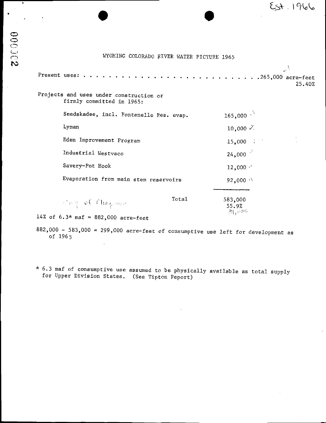## WYOMING COLORADO RIVER WATER PICTURE 1965

|                                                                      |       |                                 | 25.40% |
|----------------------------------------------------------------------|-------|---------------------------------|--------|
| Projects and uses under construction or<br>firmly committed in 1965: |       |                                 |        |
| Seedskadee, incl. Fontenelle Res. evap.                              |       | 165,000 $\sqrt{ }$              |        |
| Lyman                                                                |       | 10,000 $\chi$                   |        |
| Eden Improvement Program                                             |       | $15,000$ :                      |        |
| Industrial Westvaco                                                  |       | $24,000^{-3}$                   |        |
| Savery-Pot Hook                                                      |       | $12,000$ $\cdot$                |        |
| Evaporation from main stem reservoirs                                |       | $92,000 \sim$                   |        |
|                                                                      |       |                                 |        |
| $\mathbb{E}[\exp(-\phi \hat{\mathcal{K}}/\hat{\mathcal{K}})]$        | Total | 583,000<br>55.9%<br>्षे । सक्षर |        |
| 14% of $6.3*$ maf = 882,000 acre-feet                                |       |                                 |        |

882,000 - 583,000 = 299,000 acre-feet of consumptive use left for development as of 1965

6. <sup>3</sup> maf of consumptive use assumed to be physically available as total supply for Upper Division States. ( See Tipton Report)

 $\mathcal{L}$ 

 $\ddot{\phantom{1}}$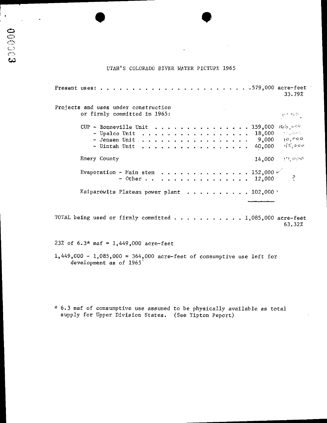## UTAH'S COLORADO RIVER WATER PICTURE 1965

| Projects and uses under construction<br>or firmly committed in 1965:                                                 | 大き草草                                       |
|----------------------------------------------------------------------------------------------------------------------|--------------------------------------------|
| CUP - Bonneville Unit 159,000 $\mathcal{M}_{\varphi_0}$<br>18,000<br>$-$ Upalco Unit<br>40,000<br>$\sim$ Uintah Unit | in by Design<br>$9,000 - 10,000$<br>45,000 |
| Emery County<br>14,000                                                                                               | $P$ , $\circ$ $\circ$                      |
| Evaporation - Main stem 152,000 $\nu$<br>$-$ Other 12,000                                                            |                                            |
| Kaiparowits Plateau power plant 102,000 $^{\circ}$                                                                   |                                            |

 $0.000$ 

 $\mathbf{u} = \mathbf{u} + \mathbf{u} + \mathbf{u} + \mathbf{u}$ 63.32%

23% of 6.3\* maf = 1,449,000 acre-feet

1,449,000 - 1,085,000 = 364,000 acre-feet of consumptive use left for development as of 1965'

\* 6.3 maf of consumptive use assumed to be physically available as total supply for Upper Division States. (See Tipton Peport)

 $\bullet$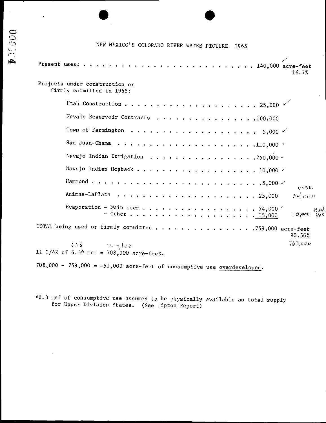# NEW MEXICO'S COLORADO RIVER WATER PICTURE 1965

 $\sim$ 

**DO0014** 

| 16.7%                                                                                     |
|-------------------------------------------------------------------------------------------|
| Projects under construction or<br>firmly committed in 1965:                               |
|                                                                                           |
| Navajo Reservoir Contracts 100,000                                                        |
| Town of Farmington $\ldots \ldots \ldots \ldots \ldots \ldots \ldots \ldots$ 5,000 $\vee$ |
|                                                                                           |
| Navajo Indian Irrigation 250,000 $\sim$                                                   |
| Navajo Indian Hogback 10,000 $\vee$                                                       |
| USBR.                                                                                     |
| $3 + \frac{1}{2}$ 000                                                                     |
| Evaporation - Main stem 74,000 $\sim$<br>$\cap$ a $\cup$<br>$+0,000$<br>005               |
| TOTAL being used or firmly committed 759,000 acre-feet<br>90.56%                          |
| 763.000<br>$615 - 1.9$ 150<br>11 1/4% of $6.3*$ maf = 708,000 acre-feet.                  |
| 708,000 - 759,000 = $-51,000$ acre-feet of consumptive use overdeveloped.                 |

\*6.3 maf of consumptive use assumed to be physically available as total supply for Upper Division States. (See Tipton Report)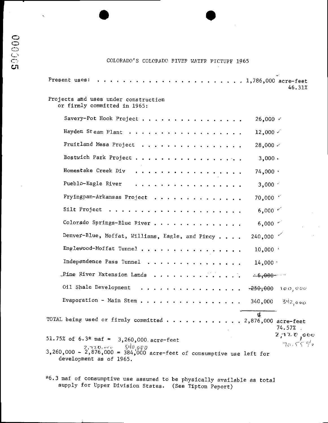## COLORADO'S COLORADO RIVER WATER PICTURE 1965

| Present uses:<br>$\cdots$ 1,786,000 acre-feet                                                                                                                                                                                                                                                                                                                                                                                                                                                                                | 46.31%                |
|------------------------------------------------------------------------------------------------------------------------------------------------------------------------------------------------------------------------------------------------------------------------------------------------------------------------------------------------------------------------------------------------------------------------------------------------------------------------------------------------------------------------------|-----------------------|
| Projects and uses under construction<br>or firmly committed in 1965:                                                                                                                                                                                                                                                                                                                                                                                                                                                         |                       |
| Savery-Pot Hook Project<br>$26,000 \; \vee$                                                                                                                                                                                                                                                                                                                                                                                                                                                                                  |                       |
| Hayden Steam Plant<br>12,000 $\checkmark$                                                                                                                                                                                                                                                                                                                                                                                                                                                                                    |                       |
| Fruitland Mesa Project<br>28,000 <                                                                                                                                                                                                                                                                                                                                                                                                                                                                                           |                       |
| Bostwich Park Project<br>$3,000 \cdot$                                                                                                                                                                                                                                                                                                                                                                                                                                                                                       |                       |
| Homestake Creek Div<br>$74,000 +$<br>.                                                                                                                                                                                                                                                                                                                                                                                                                                                                                       |                       |
| Pueblo-Eagle River<br>$3,000$ $\leq$<br>a caracteristic and a caracteristic state                                                                                                                                                                                                                                                                                                                                                                                                                                            |                       |
| Fryingpan-Arkansas Project<br>$70,000$ $\degree$                                                                                                                                                                                                                                                                                                                                                                                                                                                                             |                       |
| 6,000 $\sim$                                                                                                                                                                                                                                                                                                                                                                                                                                                                                                                 |                       |
| Colorado Springs-Blue Fiver<br>$6,000$ $\sim$                                                                                                                                                                                                                                                                                                                                                                                                                                                                                |                       |
| $240,000$ $\checkmark$<br>Denver-Blue, Moffat, Williams, Eagle, and Pincy                                                                                                                                                                                                                                                                                                                                                                                                                                                    |                       |
| Englewood-Moffat Tunnel<br>10,000                                                                                                                                                                                                                                                                                                                                                                                                                                                                                            |                       |
| Independence Pass Tunnel<br>$14,000$ $^{\circ}$                                                                                                                                                                                                                                                                                                                                                                                                                                                                              |                       |
| Pine River Extension Lands<br><b>et 6-4000 minutes</b>                                                                                                                                                                                                                                                                                                                                                                                                                                                                       |                       |
| Oil Shale Development<br>$-250,000$<br>$\mathbf{a} \cdot \mathbf{a} \cdot \mathbf{a} \cdot \mathbf{a} \cdot \mathbf{a} \cdot \mathbf{a} \cdot \mathbf{a} \cdot \mathbf{a} \cdot \mathbf{a} \cdot \mathbf{a} \cdot \mathbf{a} \cdot \mathbf{a} \cdot \mathbf{a} \cdot \mathbf{a} \cdot \mathbf{a} \cdot \mathbf{a} \cdot \mathbf{a} \cdot \mathbf{a} \cdot \mathbf{a} \cdot \mathbf{a} \cdot \mathbf{a} \cdot \mathbf{a} \cdot \mathbf{a} \cdot \mathbf{a} \cdot \mathbf{a} \cdot \mathbf{a} \cdot \mathbf{a} \cdot \mathbf{$ | 100,000               |
| Evaporation - Main Stem<br>340,000                                                                                                                                                                                                                                                                                                                                                                                                                                                                                           | 342000                |
| $\mathbf{u}$<br>TOTAL being used or firmly committed $\cdots$ 2,876,000 acre-feet                                                                                                                                                                                                                                                                                                                                                                                                                                            | $74.57\%$             |
| 51.75% of 6.3* maf = $3,260,000$ acre-feet<br>$2,720,00055$ $$40,000$<br>$3,260,000 - 2,876,000 = 384,000$ acre-feet of consumptive use left for<br>development as of 1965.                                                                                                                                                                                                                                                                                                                                                  | 2720,000<br>$70.55\%$ |

\*6.3 maf of consumptive use assumed to be physically available as total supply for Upper Division States. (See Tipton Peport)

 $\cdot$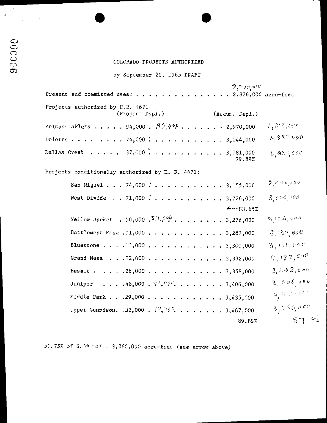#### COLORADO PROJECTS AUTHOFIZED

by September 20, 1965 DRAFT

Dallas Creek . . . . . 37,000  $\ldots$  . . . . . . . . . . 3,081,000 79. 89%  $\mathfrak{z},$ ଜଧ୍ୟ, ୦୦୦ Present and committed uses:  $f{.}$ ...  $2^+$ 120's ( $^+$ 2, 876, 000 acre- feet Projects authorized by H.R. 4671 (Project Depl.) (Accum. Depl.) Dolores . . . . . . . . 74,000 Animas-LaPlata . . . . . 94,000 .  $[{\bf 9\cdot 9\cdot 9\cdot 1\cdot 1}] \cdot ... \cdot$  . . . . . 2,970,000  $\qquad \tilde{\epsilon}_1\otimes \tilde{\epsilon}_2\otimes$  $2, 887, 000$ Projects conditionally authorized by H. R. 4671: San Miguel  $\ldots$  , 74,000  $\stackrel{\circ}{\mathcal{N}}\ldots$  ,  $\ldots$  ,  $\ldots$  ,  $\ldots$  ,  $3,155,000$  so  $\stackrel{\mathfrak{D}_q\circ\mathfrak{p}\neq\mathfrak{p}}{\longrightarrow}$  $\mathcal{D}$  Ou West Divide . . 71,000 . . . . . . . . . . . . 3,226,000  $f \circ \iota_{\beta}$  -  $\iota_{\alpha}$  $\xi$  – 83.65% Yellow Jacket . 50,000 S. D. 200 . . . . . . . . . 3,276,000  $\frac{8,10.6,000}{10,000}$ Battlement Mesa . 11,000 . . . . . . . . . . . . 3,287,000  $\frac{3}{2}$  (31,000 Bluestone . . . . 13,000 . . . . . . . . . . . . 3,300,000  $3.15c,00c$ Grand Mesa . . . 32,000 . . . . . . . . . . . . 3,332,000  $9,182,000$ Basalt . . . . . 26,000 . . . . . . . . . . . . 3,358,000  $\frac{3}{3}$   $2.0 \frac{8}{100}$ Juniper . . . . 48,000 .  $\mathcal{F}, \mathcal{S} \mathcal{P}^2$ , . . . . . . . 3,406,000  $\mathcal{S}, \mathcal{S} \mathcal{P} \mathcal{S}'_j \mathcal{P}^{\psi}$ <br>Middle Park . . .29,000 . . . . . . . . . . . . 3.435.000  $\mathcal{S}, \mathcal{S} \mathcal{P} \mathcal{S}'_j \mathcal{P}^{\psi}$  $3.50500$ Middle Park . . . 29,000 . . . . . . . . . . . . 3,435,000 Upper Gunnison. .32,000 .  $7\frac{v}{2}, v\,\overline{\nu}, \, \ldots$  . . . . . 3,467,000  $\qquad$  $, 56,$  000 89.89%  $\begin{array}{ccc} 8 & 9 & \end{array}$ 

51.75% of 6.3\* maf =  $3,260,000$  acre-feet (see arrow above)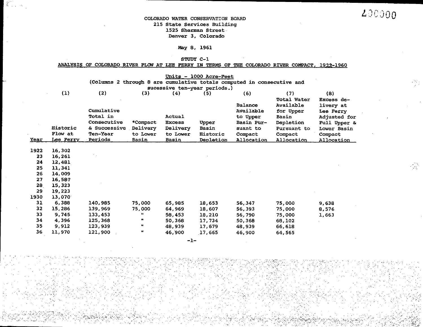$(8)$ 

 $\epsilon$ 

#### COLORADO WATER CONSERVATION BOARD <sup>215</sup> State Services Building 1525 Sherman Street Denver 3, Colorado

Ž

 $(1)$ 

#### May 8, 1961

## STUDY C-1

|  |  |  |  |  |  |  | <u>ANALYSIS OF COLORADO RIVER FLOW AT LEE FERRY IN TERMS OF THE COLORADO RIVER COMPACT, 1922-1960</u> |
|--|--|--|--|--|--|--|-------------------------------------------------------------------------------------------------------|
|  |  |  |  |  |  |  |                                                                                                       |

Units - 1000 Acre-Feet (Columns 2 through 8 are cumulative totals computed in consecutive and sucessive ten-year periods.)  $(2)$  $(3)$  $(4)$  $\overline{5}$  $(6)$  $(7)$ **Total Water** Excess de-Balance Available livery at Cumulative Available for Upper Lee Ferry Total in Actual Adjusted for to Upper Basin \_ . .

| Year | <b>Historic</b><br>Flow at<br>Lee Ferry | <b>CONSECULLYE</b><br>& Successive<br><b>Ten-Year</b><br>Periods | ~compact<br>Delivery<br>to Lower<br>Basin | <b>BXCGSS</b><br>Delivery<br>to Lower<br>Basin | upper<br>Basin<br><b>Historic</b><br>Depletion | basın rur-<br>suant to<br>Compact<br>Allocation | nebreriou<br>Pursuant to<br>Compact<br><b>Allocation</b> | ruii upper<br>Lower Basin<br>Compact<br>Allocation |
|------|-----------------------------------------|------------------------------------------------------------------|-------------------------------------------|------------------------------------------------|------------------------------------------------|-------------------------------------------------|----------------------------------------------------------|----------------------------------------------------|
| 1922 | 16,302                                  |                                                                  |                                           |                                                |                                                |                                                 |                                                          |                                                    |
| 23   | 16,261                                  |                                                                  |                                           |                                                |                                                |                                                 |                                                          |                                                    |
| 24   | 12,481                                  |                                                                  |                                           |                                                |                                                |                                                 |                                                          |                                                    |
| 25   | 11,341                                  |                                                                  |                                           |                                                |                                                |                                                 |                                                          |                                                    |
| 26   | 14,009                                  |                                                                  |                                           |                                                |                                                |                                                 |                                                          |                                                    |
| 27   | 16,587                                  |                                                                  |                                           |                                                |                                                |                                                 |                                                          |                                                    |
| 28   | 15,323                                  |                                                                  |                                           |                                                |                                                |                                                 |                                                          |                                                    |
| 29   | 19,223                                  |                                                                  |                                           |                                                |                                                |                                                 |                                                          |                                                    |
| 1930 | 13,070                                  |                                                                  |                                           |                                                |                                                |                                                 |                                                          |                                                    |
| 31   | 6.388                                   | 140,985                                                          | 75,000                                    | 65,985                                         | 18,653                                         | 56.347                                          | 75,000                                                   | 9,638                                              |
| 32   | 15,286                                  | 139,969                                                          | 75,000                                    | 64,969                                         | 18,607                                         | 56,393                                          | 75,000                                                   | 8,576                                              |
| 33   | 9.745                                   | 133,453                                                          | 88.                                       | 58,453                                         | 18,210                                         | 56,790                                          | 75,000                                                   | 1,663                                              |
| 34   | 4,396                                   | 125,368                                                          | n                                         | 50,368                                         | 17,734                                         | 50,368                                          | 68,102                                                   |                                                    |
| 35   | 9,912                                   | 123,939                                                          | Ħ.                                        | 48,939                                         | 17,679                                         | 48,939                                          | 66,618                                                   |                                                    |
| 36   | 11,970                                  | 121,900                                                          | Ħ                                         | 46,900                                         | 17,665                                         | 46.900                                          | 64,565                                                   |                                                    |

 $-1-$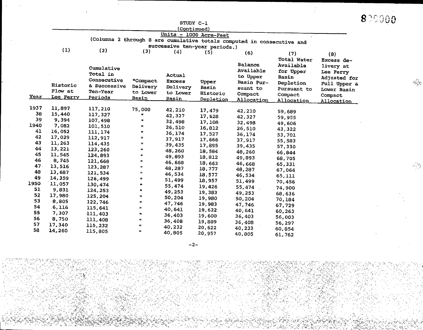|                 |                |              |                      |               |                               |                                                                        |                                              |                                             | 829000 |
|-----------------|----------------|--------------|----------------------|---------------|-------------------------------|------------------------------------------------------------------------|----------------------------------------------|---------------------------------------------|--------|
|                 |                |              |                      | STUDY C-1     |                               |                                                                        |                                              |                                             |        |
|                 |                |              |                      | (Continued)   |                               |                                                                        |                                              |                                             |        |
|                 |                |              |                      |               | Units - 1000 Acre-Feet        |                                                                        |                                              |                                             |        |
|                 |                |              |                      |               |                               | (Columns 2 through 8 are cumulative totals computed in consecutive and |                                              |                                             |        |
|                 | (1)            | (2)          |                      |               | successive ten-year periods.) |                                                                        |                                              |                                             |        |
|                 |                | Cumulative   | (3)                  | (4)           | (5)                           | (6)<br><b>Balance</b><br>Available                                     | (7)<br>Total Water<br>Available<br>for Upper | (8)<br>Excess de-<br>livery at<br>Lee Ferry |        |
|                 |                | Total in     |                      | <b>Actual</b> |                               | to Upper                                                               | Basin                                        | Adjusted for                                |        |
|                 | Historic       | Consecutive  | *Compact             | <b>Excess</b> | Upper                         | Basin Pur-                                                             | Depletion                                    | Full Upper &                                |        |
|                 | Flow at        | & Successive | Delivery             | Delivery      | Basin                         | suant to                                                               | Pursuant to                                  | Lower Basin                                 |        |
|                 | Year Lee Ferry | Ten-Year     | to Lower             | to Lower      | Historic                      | Compact                                                                | Compact                                      | Compact                                     |        |
|                 |                | Periods      | <b>Basin</b>         | <u>Basin</u>  | <u>Depletion</u>              | Allocation                                                             | Allocation                                   | <u>Allocation</u>                           |        |
| 1937            | 11,897         | 117,210      | 75,000               | 42,210        | 17,479                        | 42,210                                                                 |                                              |                                             |        |
| 38              | 15,440         | 117,327      | ×                    | 42,327        | 17,628                        |                                                                        | 59,689                                       |                                             |        |
| 39              | 9,394          | 107,498      | b.                   | 32,498        | 17,108                        | 42,327<br>32,498                                                       | 59,955                                       |                                             |        |
| 1940            | 7,082          | 101,510      | u                    | 26,510        | 16,812                        | 26,510                                                                 | 49,606                                       |                                             |        |
| 41              | 16,052         | 111, 174     | Ħ                    | 36,174        | 17,527                        | 36,174                                                                 | 43,322                                       |                                             |        |
| 42              | 17,029         | 112,917      | Ħ.                   | 37,917        | 17,666                        | 37,917                                                                 | 53,701                                       |                                             |        |
| 43              | 11,263         | 114,435      | IJ.                  | 39,435        | 17,895                        | 39,435                                                                 | 55,583                                       |                                             |        |
| 44              | 13,221         | 123,260      | n                    | 48,260        | 18,584                        | 48,260                                                                 | 57,330                                       |                                             |        |
| 45              | 11,545         | 124.893      | $\mathbf{B}$         | 49,893        | 18,812                        | 49,893                                                                 | 66,844                                       |                                             |        |
| 46              | 8,745          | 121,668      | m                    | 46,668        | 18,663                        |                                                                        | 68,705                                       |                                             |        |
| 47.             | 13,516         | 123,287      | $\pmb{\mathfrak{m}}$ | 48,287        | 18,777                        | 46,668                                                                 | 65,331                                       |                                             |        |
| 48              | 13,687         | 121,534      | $\pmb{\mathfrak{m}}$ | 46,534        | 18,577                        | 48,287                                                                 | 67,064                                       |                                             |        |
| 49 <sup>°</sup> | 14,359         | 126,499      | $\pmb{\mathsf{m}}$   | 51,499        | 18,957                        | 46.534<br>51,499                                                       | 65,111                                       |                                             |        |
| 1950            | 11,057         | 130,474      | 48                   | 55,474        | 19,426                        |                                                                        | 70,456                                       |                                             |        |
| 51              | 9,831          | 124, 253     | m                    | 49,253        | 19,383                        | 55,474<br>49,253                                                       | 74,900                                       |                                             |        |
| 52              | 17,980         | 125,204      | $\mathbf{u}$         | 50,204        | 19,980                        |                                                                        | 68,636                                       |                                             |        |
| 53              | 8,805          | 122,746      | œ                    | 47,746        | 19,983                        | 50,204                                                                 | 70,184                                       |                                             |        |
| 54              | .6,116         | 115,641      | Ħ.                   | 40,641        | 19,622                        | 47,746<br>40,641                                                       | 67,729                                       |                                             |        |
| 55              | 7,307          | 111,403      | $\pmb{\mathfrak{p}}$ | 36,403        | 19,600                        |                                                                        | 60,263                                       |                                             |        |
| 56              | 8,750          | 111,408      | $\pmb{\ast}$         | 36,408        | 19,889                        | 36,403                                                                 | 56,003                                       |                                             |        |
| 57              | 17,340         | 115,232      | $\pmb{\mathfrak{u}}$ | 40,232        | 20,622                        | 36,408                                                                 | 56,297                                       |                                             |        |
| 58              | 14,260         | 115,805      | $\mathbf{H}$         | 40,805        | 20,957                        | 40,232<br>40,805                                                       | 60,854<br>61,762                             |                                             |        |

 $\sqrt{\hat{p}}$ 

2-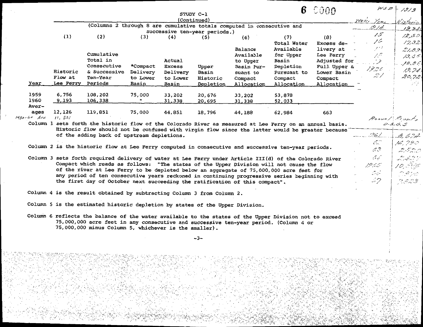|                 |                   | (Columns 2 through 8 are cumulative totals computed in consecutive and                                                                        |              |               |                               |                      |                          |                        | Water Year<br>1914 | 4 is torici<br>12,340 |
|-----------------|-------------------|-----------------------------------------------------------------------------------------------------------------------------------------------|--------------|---------------|-------------------------------|----------------------|--------------------------|------------------------|--------------------|-----------------------|
|                 | (1)               | (2)                                                                                                                                           |              |               | successive ten-year periods.) |                      |                          |                        | 15                 | إرمان يزجرنه          |
|                 |                   |                                                                                                                                               | (3)          | (4)           | (5)                           | (6)                  | (7)                      | (8)                    | ノヒ                 | 12,32                 |
|                 |                   |                                                                                                                                               |              |               |                               |                      | Total Water<br>Available | Excess de-             | 92                 |                       |
|                 |                   | Cumulative                                                                                                                                    |              |               |                               | Balance<br>Available | for Upper                | livery at<br>Lee Perry | تتمرس              | 21,89                 |
|                 |                   | Total in                                                                                                                                      |              | Actual        |                               | to Upper             | Basin                    | Adjusted for           |                    | 13.65.                |
|                 |                   | Consecutive                                                                                                                                   | *Compact     | <b>Excess</b> | Upper                         | Basin Pur-           | Depletion                | Full Upper &           |                    | بيهجرجه               |
|                 | Historic          | & Successive Delivery                                                                                                                         |              | Delivery      | Basin                         | suant to             | Pursuant to              | Lower Basin            | 17.30              | 12.24                 |
|                 | Flow at           | Ten-Year                                                                                                                                      | to Lower     | to Lower      | Historic                      | Compact              | Compact                  | Compact                | 21                 | 20.73                 |
| Year            | Lee Ferry Periods |                                                                                                                                               | Basin        | Basin         | Depletion                     | Allocation           | Allocation               | Allocation             |                    |                       |
|                 |                   |                                                                                                                                               |              |               |                               |                      |                          |                        |                    |                       |
| 1959            | 6,756             | 108,202                                                                                                                                       | 75,000       | 33,202        | 20,676                        | 33,202               | 53,878                   |                        |                    |                       |
| 1960            | 9,193             | 106,338                                                                                                                                       | $\mathbf{u}$ | 31,338        | 20,695                        | 31,338               | 52,033                   |                        |                    |                       |
|                 |                   |                                                                                                                                               |              |               |                               |                      |                          |                        |                    |                       |
| Aver-           |                   |                                                                                                                                               |              |               |                               |                      |                          |                        |                    |                       |
| ages            | 12,126            | 119,851                                                                                                                                       | 75,000       | 44.851        | 18,796                        | 44,188               | 62,984                   | 663                    |                    |                       |
| $1930 - 60$ Ave | 11, 321           |                                                                                                                                               |              |               |                               |                      |                          |                        | Roovell Preserto   |                       |
|                 |                   | Column 1 sets forth the historic flow of the Colorado River as measured at Lee Ferry on an annual basis.                                      |              |               |                               |                      |                          |                        |                    | 0.5.6.5               |
|                 |                   | Historic flow should not be confused with virgin flow since the latter would be greater because                                               |              |               |                               |                      |                          |                        |                    |                       |
|                 |                   | of the adding back of upstream depletions.                                                                                                    |              |               |                               |                      |                          |                        | 1.1261             |                       |
|                 |                   |                                                                                                                                               |              |               |                               |                      |                          |                        | فتعاطيهم           | 6,622<br>14.290       |
|                 |                   | Column 2 is the historic flow at Lee Ferry computed in consecutive and successive ten-year periods.                                           |              |               |                               |                      |                          |                        | $\mathcal{L}3$     | دسر دسوستر وابتد      |
|                 |                   |                                                                                                                                               |              |               |                               |                      |                          |                        |                    |                       |
|                 |                   | Column 3 sets forth required delivery of water at Lee Ferry under Article III(d) of the Colorado River                                        |              |               |                               |                      |                          |                        | ا جا ہے ۔          | الرحمة للموسيقية      |
|                 |                   | Compact which reads as follows: "The states of the Upper Division will not cause the flow                                                     |              |               |                               |                      |                          |                        | 1965.              | 70. PAS               |
|                 |                   | of the river at Lee Ferry to be depleted below an aggregate of 75,000,000 acre feet for                                                       |              |               |                               |                      |                          |                        | الكسين وتنائيا     | nasko                 |
|                 |                   | any period of ten consecutive years reckoned in continuing progressive series beginning with                                                  |              |               |                               |                      |                          |                        | مرسمين ا           |                       |
|                 |                   | the first day of October next succeeding the ratification of this compact".                                                                   |              |               |                               |                      |                          |                        |                    |                       |
|                 |                   | Column 4 is the result obtained by subtracting Column 3 from Column 2.                                                                        |              |               |                               |                      |                          |                        |                    | 25.33                 |
|                 |                   |                                                                                                                                               |              |               |                               |                      |                          |                        |                    |                       |
|                 |                   | Column 5 is the estimated historic depletion by states of the Upper Division.                                                                 |              |               |                               |                      |                          |                        |                    |                       |
|                 |                   |                                                                                                                                               |              |               |                               |                      |                          |                        |                    |                       |
|                 |                   | Column 6 reflects the balance of the water available to the states of the Upper Division not to exceed                                        |              |               |                               |                      |                          |                        |                    |                       |
|                 |                   | 75,000,000 acre feet in any consecutive and successive ten-year period. (Column 4 or<br>75,000,000 minus Column 5, whichever is the smaller). |              |               |                               |                      |                          |                        |                    |                       |
|                 |                   |                                                                                                                                               |              |               | $-3-$                         |                      |                          |                        |                    |                       |

ing Ka

나이로 한다고 있다.<br>사라 오겠어요? (주변)